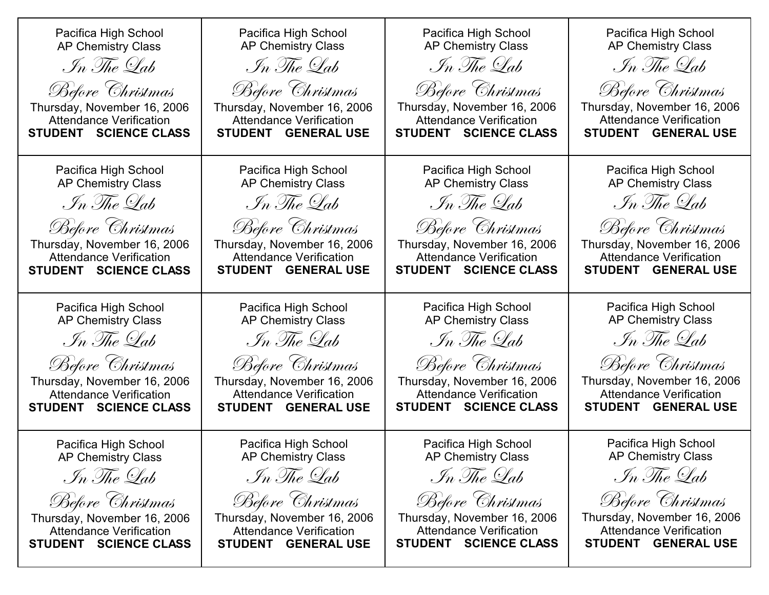| Pacifica High School<br><b>AP Chemistry Class</b><br>In The Lab<br>Before Christmas<br>Thursday, November 16, 2006<br><b>Attendance Verification</b><br>STUDENT SCIENCE CLASS | Pacifica High School<br><b>AP Chemistry Class</b><br>In The Lab<br>Before Christmas<br>Thursday, November 16, 2006<br><b>Attendance Verification</b><br><b>STUDENT GENERAL USE</b> | Pacifica High School<br><b>AP Chemistry Class</b><br>In The Lab<br>Before Christmas<br>Thursday, November 16, 2006<br><b>Attendance Verification</b><br>STUDENT SCIENCE CLASS | Pacifica High School<br><b>AP Chemistry Class</b><br>In The Lab<br>Before Christmas<br>Thursday, November 16, 2006<br><b>Attendance Verification</b><br><b>GENERAL USE</b><br><b>STUDENT</b> |
|-------------------------------------------------------------------------------------------------------------------------------------------------------------------------------|------------------------------------------------------------------------------------------------------------------------------------------------------------------------------------|-------------------------------------------------------------------------------------------------------------------------------------------------------------------------------|----------------------------------------------------------------------------------------------------------------------------------------------------------------------------------------------|
| Pacifica High School                                                                                                                                                          | Pacifica High School                                                                                                                                                               | Pacifica High School                                                                                                                                                          | Pacifica High School                                                                                                                                                                         |
| <b>AP Chemistry Class</b>                                                                                                                                                     | <b>AP Chemistry Class</b>                                                                                                                                                          | <b>AP Chemistry Class</b>                                                                                                                                                     | <b>AP Chemistry Class</b>                                                                                                                                                                    |
| In The Lab                                                                                                                                                                    | In The Lab                                                                                                                                                                         | In The Lab                                                                                                                                                                    | In The Lab                                                                                                                                                                                   |
| Before Christmas                                                                                                                                                              | Before Christmas                                                                                                                                                                   | Before Christmas                                                                                                                                                              | Before Christmas                                                                                                                                                                             |
| Thursday, November 16, 2006                                                                                                                                                   | Thursday, November 16, 2006                                                                                                                                                        | Thursday, November 16, 2006                                                                                                                                                   | Thursday, November 16, 2006                                                                                                                                                                  |
| <b>Attendance Verification</b>                                                                                                                                                | <b>Attendance Verification</b>                                                                                                                                                     | <b>Attendance Verification</b>                                                                                                                                                | <b>Attendance Verification</b>                                                                                                                                                               |
| STUDENT SCIENCE CLASS                                                                                                                                                         | STUDENT GENERAL USE                                                                                                                                                                | STUDENT SCIENCE CLASS                                                                                                                                                         | STUDENT GENERAL USE                                                                                                                                                                          |
| Pacifica High School                                                                                                                                                          | Pacifica High School                                                                                                                                                               | Pacifica High School                                                                                                                                                          | Pacifica High School                                                                                                                                                                         |
| <b>AP Chemistry Class</b>                                                                                                                                                     | <b>AP Chemistry Class</b>                                                                                                                                                          | <b>AP Chemistry Class</b>                                                                                                                                                     | <b>AP Chemistry Class</b>                                                                                                                                                                    |
| In The Lab                                                                                                                                                                    | In The Lab                                                                                                                                                                         | In The Lab                                                                                                                                                                    | In The Lab                                                                                                                                                                                   |
| Before Christmas                                                                                                                                                              | Before Christmas                                                                                                                                                                   | Before Christmas                                                                                                                                                              | Before Christmas                                                                                                                                                                             |
| Thursday, November 16, 2006                                                                                                                                                   | Thursday, November 16, 2006                                                                                                                                                        | Thursday, November 16, 2006                                                                                                                                                   | Thursday, November 16, 2006                                                                                                                                                                  |
| <b>Attendance Verification</b>                                                                                                                                                | <b>Attendance Verification</b>                                                                                                                                                     | <b>Attendance Verification</b>                                                                                                                                                | <b>Attendance Verification</b>                                                                                                                                                               |
| STUDENT SCIENCE CLASS                                                                                                                                                         | STUDENT GENERAL USE                                                                                                                                                                | STUDENT SCIENCE CLASS                                                                                                                                                         | STUDENT GENERAL USE                                                                                                                                                                          |
| Pacifica High School                                                                                                                                                          | Pacifica High School                                                                                                                                                               | Pacifica High School                                                                                                                                                          | Pacifica High School                                                                                                                                                                         |
| <b>AP Chemistry Class</b>                                                                                                                                                     | <b>AP Chemistry Class</b>                                                                                                                                                          | <b>AP Chemistry Class</b>                                                                                                                                                     | AP Chemistry Class                                                                                                                                                                           |
| In The Lab                                                                                                                                                                    | In The Lab                                                                                                                                                                         | In The Lab                                                                                                                                                                    | In The Lab                                                                                                                                                                                   |
| Before Christmas                                                                                                                                                              | Before Christmas                                                                                                                                                                   | Before Christmas                                                                                                                                                              | Before Christmas                                                                                                                                                                             |
| Thursday, November 16, 2006                                                                                                                                                   | Thursday, November 16, 2006                                                                                                                                                        | Thursday, November 16, 2006                                                                                                                                                   | Thursday, November 16, 2006                                                                                                                                                                  |
| <b>Attendance Verification</b>                                                                                                                                                | <b>Attendance Verification</b>                                                                                                                                                     | <b>Attendance Verification</b>                                                                                                                                                | <b>Attendance Verification</b>                                                                                                                                                               |
| STUDENT SCIENCE CLASS                                                                                                                                                         | STUDENT GENERAL USE                                                                                                                                                                | STUDENT SCIENCE CLASS                                                                                                                                                         | STUDENT GENERAL USE                                                                                                                                                                          |